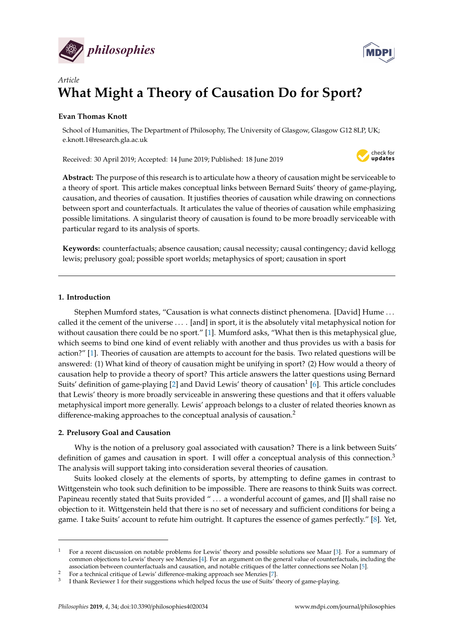



# *Article* **What Might a Theory of Causation Do for Sport?**

# **Evan Thomas Knott**

School of Humanities, The Department of Philosophy, The University of Glasgow, Glasgow G12 8LP, UK; e.knott.1@research.gla.ac.uk

Received: 30 April 2019; Accepted: 14 June 2019; Published: 18 June 2019



**Abstract:** The purpose of this research is to articulate how a theory of causation might be serviceable to a theory of sport. This article makes conceptual links between Bernard Suits' theory of game-playing, causation, and theories of causation. It justifies theories of causation while drawing on connections between sport and counterfactuals. It articulates the value of theories of causation while emphasizing possible limitations. A singularist theory of causation is found to be more broadly serviceable with particular regard to its analysis of sports.

**Keywords:** counterfactuals; absence causation; causal necessity; causal contingency; david kellogg lewis; prelusory goal; possible sport worlds; metaphysics of sport; causation in sport

# **1. Introduction**

Stephen Mumford states, "Causation is what connects distinct phenomena. [David] Hume . . . called it the cement of the universe . . . . [and] in sport, it is the absolutely vital metaphysical notion for without causation there could be no sport." [\[1\]](#page-9-0). Mumford asks, "What then is this metaphysical glue, which seems to bind one kind of event reliably with another and thus provides us with a basis for action?" [\[1\]](#page-9-0). Theories of causation are attempts to account for the basis. Two related questions will be answered: (1) What kind of theory of causation might be unifying in sport? (2) How would a theory of causation help to provide a theory of sport? This article answers the latter questions using Bernard Suits' definition of game-playing [\[2\]](#page-9-1) and David Lewis' theory of causation $^1$  [\[6\]](#page-10-0). This article concludes that Lewis' theory is more broadly serviceable in answering these questions and that it offers valuable metaphysical import more generally. Lewis' approach belongs to a cluster of related theories known as difference-making approaches to the conceptual analysis of causation.<sup>2</sup>

# **2. Prelusory Goal and Causation**

Why is the notion of a prelusory goal associated with causation? There is a link between Suits' definition of games and causation in sport. I will offer a conceptual analysis of this connection.<sup>3</sup> The analysis will support taking into consideration several theories of causation.

Suits looked closely at the elements of sports, by attempting to define games in contrast to Wittgenstein who took such definition to be impossible. There are reasons to think Suits was correct. Papineau recently stated that Suits provided " ... a wonderful account of games, and [I] shall raise no objection to it. Wittgenstein held that there is no set of necessary and sufficient conditions for being a game. I take Suits' account to refute him outright. It captures the essence of games perfectly." [\[8\]](#page-10-1). Yet,

<sup>1</sup> For a recent discussion on notable problems for Lewis' theory and possible solutions see Maar [\[3\]](#page-9-2). For a summary of common objections to Lewis' theory see Menzies [\[4\]](#page-9-3). For an argument on the general value of counterfactuals, including the association between counterfactuals and causation, and notable critiques of the latter connections see Nolan [\[5\]](#page-10-2).

<sup>2</sup> For a technical critique of Lewis' difference-making approach see Menzies [\[7\]](#page-10-3).

<sup>3</sup> I thank Reviewer 1 for their suggestions which helped focus the use of Suits' theory of game-playing.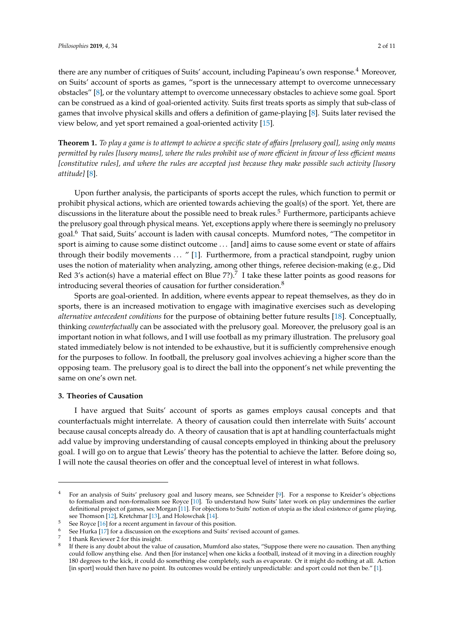there are any number of critiques of Suits' account, including Papineau's own response.<sup>4</sup> Moreover, on Suits' account of sports as games, "sport is the unnecessary attempt to overcome unnecessary obstacles" [\[8\]](#page-10-1), or the voluntary attempt to overcome unnecessary obstacles to achieve some goal. Sport can be construed as a kind of goal-oriented activity. Suits first treats sports as simply that sub-class of games that involve physical skills and offers a definition of game-playing [\[8\]](#page-10-1). Suits later revised the view below, and yet sport remained a goal-oriented activity [\[15\]](#page-10-4).

**Theorem 1.** *To play a game is to attempt to achieve a specific state of a*ff*airs [prelusory goal], using only means permitted by rules [lusory means], where the rules prohibit use of more e*ffi*cient in favour of less e*ffi*cient means [constitutive rules], and where the rules are accepted just because they make possible such activity [lusory attitude]* [\[8\]](#page-10-1).

Upon further analysis, the participants of sports accept the rules, which function to permit or prohibit physical actions, which are oriented towards achieving the goal(s) of the sport. Yet, there are discussions in the literature about the possible need to break rules.<sup>5</sup> Furthermore, participants achieve the prelusory goal through physical means. Yet, exceptions apply where there is seemingly no prelusory goal.<sup>6</sup> That said, Suits' account is laden with causal concepts. Mumford notes, "The competitor in sport is aiming to cause some distinct outcome . . . [and] aims to cause some event or state of affairs through their bodily movements . . . " [\[1\]](#page-9-0). Furthermore, from a practical standpoint, rugby union uses the notion of materiality when analyzing, among other things, referee decision-making (e.g., Did Red 3's action(s) have a material effect on Blue 7?).<sup>7</sup> I take these latter points as good reasons for introducing several theories of causation for further consideration.<sup>8</sup>

Sports are goal-oriented. In addition, where events appear to repeat themselves, as they do in sports, there is an increased motivation to engage with imaginative exercises such as developing *alternative antecedent conditions* for the purpose of obtaining better future results [\[18\]](#page-10-5). Conceptually, thinking *counterfactually* can be associated with the prelusory goal. Moreover, the prelusory goal is an important notion in what follows, and I will use football as my primary illustration. The prelusory goal stated immediately below is not intended to be exhaustive, but it is sufficiently comprehensive enough for the purposes to follow. In football, the prelusory goal involves achieving a higher score than the opposing team. The prelusory goal is to direct the ball into the opponent's net while preventing the same on one's own net.

## **3. Theories of Causation**

I have argued that Suits' account of sports as games employs causal concepts and that counterfactuals might interrelate. A theory of causation could then interrelate with Suits' account because causal concepts already do. A theory of causation that is apt at handling counterfactuals might add value by improving understanding of causal concepts employed in thinking about the prelusory goal. I will go on to argue that Lewis' theory has the potential to achieve the latter. Before doing so, I will note the causal theories on offer and the conceptual level of interest in what follows.

<sup>4</sup> For an analysis of Suits' prelusory goal and lusory means, see Schneider [\[9\]](#page-10-6). For a response to Kreider's objections to formalism and non-formalism see Royce [\[10\]](#page-10-7). To understand how Suits' later work on play undermines the earlier definitional project of games, see Morgan [\[11\]](#page-10-8). For objections to Suits' notion of utopia as the ideal existence of game playing, see Thomson [\[12\]](#page-10-9), Kretchmar [\[13\]](#page-10-10), and Holowchak [\[14\]](#page-10-11).

<sup>5</sup> See Royce [\[16\]](#page-10-12) for a recent argument in favour of this position.

See Hurka [\[17\]](#page-10-13) for a discussion on the exceptions and Suits' revised account of games.

<sup>7</sup> I thank Reviewer 2 for this insight.

<sup>8</sup> If there is any doubt about the value of causation, Mumford also states, "Suppose there were no causation. Then anything could follow anything else. And then [for instance] when one kicks a football, instead of it moving in a direction roughly 180 degrees to the kick, it could do something else completely, such as evaporate. Or it might do nothing at all. Action [in sport] would then have no point. Its outcomes would be entirely unpredictable: and sport could not then be." [\[1\]](#page-9-0).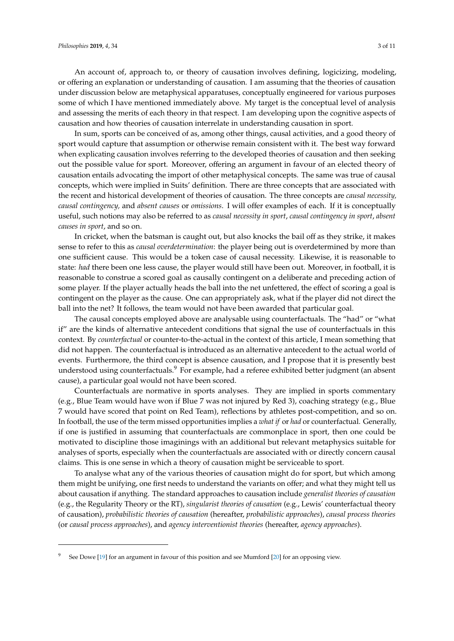An account of, approach to, or theory of causation involves defining, logicizing, modeling, or offering an explanation or understanding of causation. I am assuming that the theories of causation under discussion below are metaphysical apparatuses, conceptually engineered for various purposes some of which I have mentioned immediately above. My target is the conceptual level of analysis and assessing the merits of each theory in that respect. I am developing upon the cognitive aspects of causation and how theories of causation interrelate in understanding causation in sport.

In sum, sports can be conceived of as, among other things, causal activities, and a good theory of sport would capture that assumption or otherwise remain consistent with it. The best way forward when explicating causation involves referring to the developed theories of causation and then seeking out the possible value for sport. Moreover, offering an argument in favour of an elected theory of causation entails advocating the import of other metaphysical concepts. The same was true of causal concepts, which were implied in Suits' definition. There are three concepts that are associated with the recent and historical development of theories of causation. The three concepts are *causal necessity, causal contingency,* and *absent causes* or *omissions*. I will offer examples of each. If it is conceptually useful, such notions may also be referred to as *causal necessity in sport*, *causal contingency in sport*, *absent causes in sport*, and so on.

In cricket, when the batsman is caught out, but also knocks the bail off as they strike, it makes sense to refer to this as *causal overdetermination*: the player being out is overdetermined by more than one sufficient cause. This would be a token case of causal necessity. Likewise, it is reasonable to state: *had* there been one less cause, the player would still have been out. Moreover, in football, it is reasonable to construe a scored goal as causally contingent on a deliberate and preceding action of some player. If the player actually heads the ball into the net unfettered, the effect of scoring a goal is contingent on the player as the cause. One can appropriately ask, what if the player did not direct the ball into the net? It follows, the team would not have been awarded that particular goal.

The causal concepts employed above are analysable using counterfactuals. The "had" or "what if" are the kinds of alternative antecedent conditions that signal the use of counterfactuals in this context. By *counterfactual* or counter-to-the-actual in the context of this article, I mean something that did not happen. The counterfactual is introduced as an alternative antecedent to the actual world of events. Furthermore, the third concept is absence causation, and I propose that it is presently best understood using counterfactuals.<sup>9</sup> For example, had a referee exhibited better judgment (an absent cause), a particular goal would not have been scored.

Counterfactuals are normative in sports analyses. They are implied in sports commentary (e.g., Blue Team would have won if Blue 7 was not injured by Red 3), coaching strategy (e.g., Blue 7 would have scored that point on Red Team), reflections by athletes post-competition, and so on. In football, the use of the term missed opportunities implies a *what if* or *had* or counterfactual. Generally, if one is justified in assuming that counterfactuals are commonplace in sport, then one could be motivated to discipline those imaginings with an additional but relevant metaphysics suitable for analyses of sports, especially when the counterfactuals are associated with or directly concern causal claims. This is one sense in which a theory of causation might be serviceable to sport.

To analyse what any of the various theories of causation might do for sport, but which among them might be unifying, one first needs to understand the variants on offer; and what they might tell us about causation if anything. The standard approaches to causation include *generalist theories of causation* (e.g., the Regularity Theory or the RT), *singularist theories of causation* (e.g., Lewis' counterfactual theory of causation), *probabilistic theories of causation* (hereafter, *probabilistic approaches*), *causal process theories* (or *causal process approaches*), and *agency interventionist theories* (hereafter, *agency approaches*).

<sup>9</sup> See Dowe [\[19\]](#page-10-14) for an argument in favour of this position and see Mumford [\[20\]](#page-10-15) for an opposing view.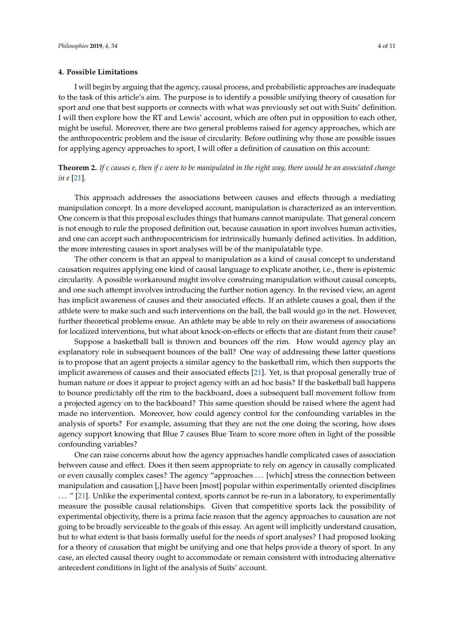#### **4. Possible Limitations**

I will begin by arguing that the agency, causal process, and probabilistic approaches are inadequate to the task of this article's aim. The purpose is to identify a possible unifying theory of causation for sport and one that best supports or connects with what was previously set out with Suits' definition. I will then explore how the RT and Lewis' account, which are often put in opposition to each other, might be useful. Moreover, there are two general problems raised for agency approaches, which are the anthropocentric problem and the issue of circularity. Before outlining why those are possible issues for applying agency approaches to sport, I will offer a definition of causation on this account:

**Theorem 2.** *If c causes e, then if c were to be manipulated in the right way, there would be an associated change in e* [\[21\]](#page-10-16).

This approach addresses the associations between causes and effects through a mediating manipulation concept. In a more developed account, manipulation is characterized as an intervention. One concern is that this proposal excludes things that humans cannot manipulate. That general concern is not enough to rule the proposed definition out, because causation in sport involves human activities, and one can accept such anthropocentricism for intrinsically humanly defined activities. In addition, the more interesting causes in sport analyses will be of the manipulatable type.

The other concern is that an appeal to manipulation as a kind of causal concept to understand causation requires applying one kind of causal language to explicate another, i.e., there is epistemic circularity. A possible workaround might involve construing manipulation without causal concepts, and one such attempt involves introducing the further notion agency. In the revised view, an agent has implicit awareness of causes and their associated effects. If an athlete causes a goal, then if the athlete were to make such and such interventions on the ball, the ball would go in the net. However, further theoretical problems ensue. An athlete may be able to rely on their awareness of associations for localized interventions, but what about knock-on-effects or effects that are distant from their cause?

Suppose a basketball ball is thrown and bounces off the rim. How would agency play an explanatory role in subsequent bounces of the ball? One way of addressing these latter questions is to propose that an agent projects a similar agency to the basketball rim, which then supports the implicit awareness of causes and their associated effects [\[21\]](#page-10-16). Yet, is that proposal generally true of human nature or does it appear to project agency with an ad hoc basis? If the basketball ball happens to bounce predictably off the rim to the backboard, does a subsequent ball movement follow from a projected agency on to the backboard? This same question should be raised where the agent had made no intervention. Moreover, how could agency control for the confounding variables in the analysis of sports? For example, assuming that they are not the one doing the scoring, how does agency support knowing that Blue 7 causes Blue Team to score more often in light of the possible confounding variables?

One can raise concerns about how the agency approaches handle complicated cases of association between cause and effect. Does it then seem appropriate to rely on agency in causally complicated or even causally complex cases? The agency "approaches . . . [which] stress the connection between manipulation and causation [,] have been [most] popular within experimentally oriented disciplines ... " [\[21\]](#page-10-16). Unlike the experimental context, sports cannot be re-run in a laboratory, to experimentally measure the possible causal relationships. Given that competitive sports lack the possibility of experimental objectivity, there is a prima facie reason that the agency approaches to causation are not going to be broadly serviceable to the goals of this essay. An agent will implicitly understand causation, but to what extent is that basis formally useful for the needs of sport analyses? I had proposed looking for a theory of causation that might be unifying and one that helps provide a theory of sport. In any case, an elected causal theory ought to accommodate or remain consistent with introducing alternative antecedent conditions in light of the analysis of Suits' account.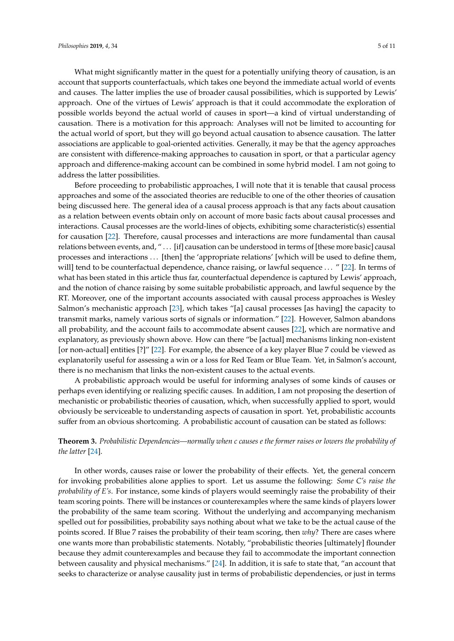What might significantly matter in the quest for a potentially unifying theory of causation, is an account that supports counterfactuals, which takes one beyond the immediate actual world of events and causes. The latter implies the use of broader causal possibilities, which is supported by Lewis' approach. One of the virtues of Lewis' approach is that it could accommodate the exploration of possible worlds beyond the actual world of causes in sport—a kind of virtual understanding of causation. There is a motivation for this approach: Analyses will not be limited to accounting for the actual world of sport, but they will go beyond actual causation to absence causation. The latter associations are applicable to goal-oriented activities. Generally, it may be that the agency approaches are consistent with difference-making approaches to causation in sport, or that a particular agency approach and difference-making account can be combined in some hybrid model. I am not going to address the latter possibilities.

Before proceeding to probabilistic approaches, I will note that it is tenable that causal process approaches and some of the associated theories are reducible to one of the other theories of causation being discussed here. The general idea of a causal process approach is that any facts about causation as a relation between events obtain only on account of more basic facts about causal processes and interactions. Causal processes are the world-lines of objects, exhibiting some characteristic(s) essential for causation [\[22\]](#page-10-17). Therefore, causal processes and interactions are more fundamental than causal relations between events, and, " . . . [if] causation can be understood in terms of [these more basic] causal processes and interactions ... [then] the 'appropriate relations' [which will be used to define them, will] tend to be counterfactual dependence, chance raising, or lawful sequence ... " [\[22\]](#page-10-17). In terms of what has been stated in this article thus far, counterfactual dependence is captured by Lewis' approach, and the notion of chance raising by some suitable probabilistic approach, and lawful sequence by the RT. Moreover, one of the important accounts associated with causal process approaches is Wesley Salmon's mechanistic approach [\[23\]](#page-10-18), which takes "[a] causal processes [as having] the capacity to transmit marks, namely various sorts of signals or information." [\[22\]](#page-10-17). However, Salmon abandons all probability, and the account fails to accommodate absent causes [\[22\]](#page-10-17), which are normative and explanatory, as previously shown above. How can there "be [actual] mechanisms linking non-existent [or non-actual] entities [?]" [\[22\]](#page-10-17). For example, the absence of a key player Blue 7 could be viewed as explanatorily useful for assessing a win or a loss for Red Team or Blue Team. Yet, in Salmon's account, there is no mechanism that links the non-existent causes to the actual events.

A probabilistic approach would be useful for informing analyses of some kinds of causes or perhaps even identifying or realizing specific causes. In addition, I am not proposing the desertion of mechanistic or probabilistic theories of causation, which, when successfully applied to sport, would obviously be serviceable to understanding aspects of causation in sport. Yet, probabilistic accounts suffer from an obvious shortcoming. A probabilistic account of causation can be stated as follows:

# **Theorem 3.** *Probabilistic Dependencies—normally when c causes e the former raises or lowers the probability of the latter* [\[24\]](#page-10-19).

In other words, causes raise or lower the probability of their effects. Yet, the general concern for invoking probabilities alone applies to sport. Let us assume the following: *Some C's raise the probability of E's*. For instance, some kinds of players would seemingly raise the probability of their team scoring points. There will be instances or counterexamples where the same kinds of players lower the probability of the same team scoring. Without the underlying and accompanying mechanism spelled out for possibilities, probability says nothing about what we take to be the actual cause of the points scored. If Blue 7 raises the probability of their team scoring, then *why*? There are cases where one wants more than probabilistic statements. Notably, "probabilistic theories [ultimately] flounder because they admit counterexamples and because they fail to accommodate the important connection between causality and physical mechanisms." [\[24\]](#page-10-19). In addition, it is safe to state that, "an account that seeks to characterize or analyse causality just in terms of probabilistic dependencies, or just in terms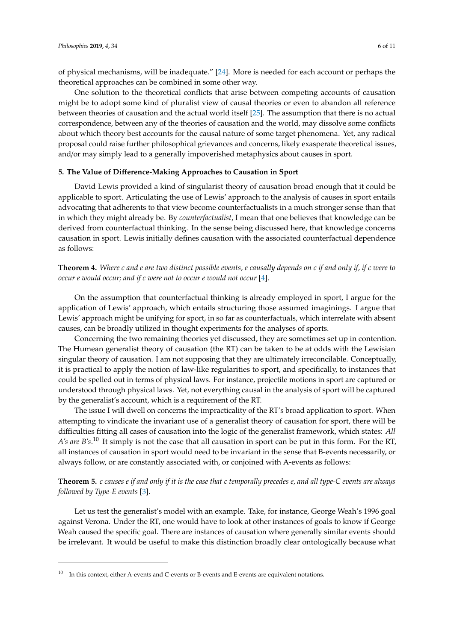of physical mechanisms, will be inadequate." [\[24\]](#page-10-19). More is needed for each account or perhaps the theoretical approaches can be combined in some other way.

One solution to the theoretical conflicts that arise between competing accounts of causation might be to adopt some kind of pluralist view of causal theories or even to abandon all reference between theories of causation and the actual world itself [\[25\]](#page-10-20). The assumption that there is no actual correspondence, between any of the theories of causation and the world, may dissolve some conflicts about which theory best accounts for the causal nature of some target phenomena. Yet, any radical proposal could raise further philosophical grievances and concerns, likely exasperate theoretical issues, and/or may simply lead to a generally impoverished metaphysics about causes in sport.

### **5. The Value of Di**ff**erence-Making Approaches to Causation in Sport**

David Lewis provided a kind of singularist theory of causation broad enough that it could be applicable to sport. Articulating the use of Lewis' approach to the analysis of causes in sport entails advocating that adherents to that view become counterfactualists in a much stronger sense than that in which they might already be. By *counterfactualist*, I mean that one believes that knowledge can be derived from counterfactual thinking. In the sense being discussed here, that knowledge concerns causation in sport. Lewis initially defines causation with the associated counterfactual dependence as follows:

**Theorem 4.** *Where c and e are two distinct possible events, e causally depends on c if and only if, if c were to occur e would occur; and if c were not to occur e would not occur* [\[4\]](#page-9-3).

On the assumption that counterfactual thinking is already employed in sport, I argue for the application of Lewis' approach, which entails structuring those assumed imaginings. I argue that Lewis' approach might be unifying for sport, in so far as counterfactuals, which interrelate with absent causes, can be broadly utilized in thought experiments for the analyses of sports.

Concerning the two remaining theories yet discussed, they are sometimes set up in contention. The Humean generalist theory of causation (the RT) can be taken to be at odds with the Lewisian singular theory of causation. I am not supposing that they are ultimately irreconcilable. Conceptually, it is practical to apply the notion of law-like regularities to sport, and specifically, to instances that could be spelled out in terms of physical laws. For instance, projectile motions in sport are captured or understood through physical laws. Yet, not everything causal in the analysis of sport will be captured by the generalist's account, which is a requirement of the RT.

The issue I will dwell on concerns the impracticality of the RT's broad application to sport. When attempting to vindicate the invariant use of a generalist theory of causation for sport, there will be difficulties fitting all cases of causation into the logic of the generalist framework, which states: *All A's are B's*. <sup>10</sup> It simply is not the case that all causation in sport can be put in this form. For the RT, all instances of causation in sport would need to be invariant in the sense that B-events necessarily, or always follow, or are constantly associated with, or conjoined with A-events as follows:

**Theorem 5.** *c causes e if and only if it is the case that c temporally precedes e, and all type-C events are always followed by Type-E events* [\[3\]](#page-9-2).

Let us test the generalist's model with an example. Take, for instance, George Weah's 1996 goal against Verona. Under the RT, one would have to look at other instances of goals to know if George Weah caused the specific goal. There are instances of causation where generally similar events should be irrelevant. It would be useful to make this distinction broadly clear ontologically because what

 $10$  In this context, either A-events and C-events or B-events and E-events are equivalent notations.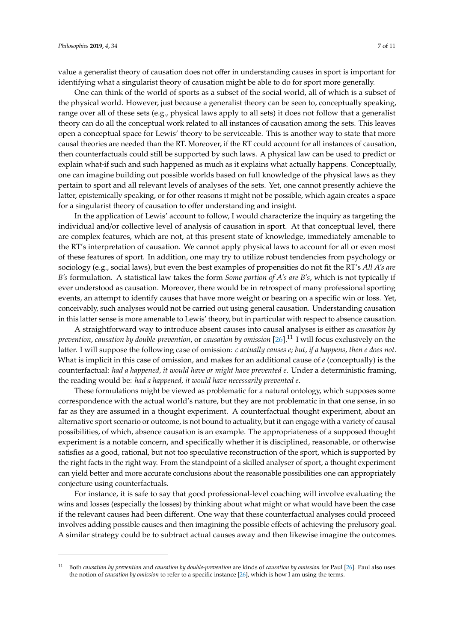value a generalist theory of causation does not offer in understanding causes in sport is important for identifying what a singularist theory of causation might be able to do for sport more generally.

One can think of the world of sports as a subset of the social world, all of which is a subset of the physical world. However, just because a generalist theory can be seen to, conceptually speaking, range over all of these sets (e.g., physical laws apply to all sets) it does not follow that a generalist theory can do all the conceptual work related to all instances of causation among the sets. This leaves open a conceptual space for Lewis' theory to be serviceable. This is another way to state that more causal theories are needed than the RT. Moreover, if the RT could account for all instances of causation, then counterfactuals could still be supported by such laws. A physical law can be used to predict or explain what-if such and such happened as much as it explains what actually happens. Conceptually, one can imagine building out possible worlds based on full knowledge of the physical laws as they pertain to sport and all relevant levels of analyses of the sets. Yet, one cannot presently achieve the latter, epistemically speaking, or for other reasons it might not be possible, which again creates a space for a singularist theory of causation to offer understanding and insight.

In the application of Lewis' account to follow, I would characterize the inquiry as targeting the individual and/or collective level of analysis of causation in sport. At that conceptual level, there are complex features, which are not, at this present state of knowledge, immediately amenable to the RT's interpretation of causation. We cannot apply physical laws to account for all or even most of these features of sport. In addition, one may try to utilize robust tendencies from psychology or sociology (e.g., social laws), but even the best examples of propensities do not fit the RT's *All A's are B's* formulation. A statistical law takes the form *Some portion of A's are B's*, which is not typically if ever understood as causation. Moreover, there would be in retrospect of many professional sporting events, an attempt to identify causes that have more weight or bearing on a specific win or loss. Yet, conceivably, such analyses would not be carried out using general causation. Understanding causation in this latter sense is more amenable to Lewis' theory, but in particular with respect to absence causation.

A straightforward way to introduce absent causes into causal analyses is either as *causation by prevention*, *causation by double-prevention*, or *causation by omission* [\[26\]](#page-10-21).<sup>11</sup> I will focus exclusively on the latter. I will suppose the following case of omission: *c actually causes e; but, if a happens, then e does not.* What is implicit in this case of omission, and makes for an additional cause of *e* (conceptually) is the counterfactual: *had a happened, it would have or might have prevented e*. Under a deterministic framing, the reading would be: *had a happened, it would have necessarily prevented e*.

These formulations might be viewed as problematic for a natural ontology, which supposes some correspondence with the actual world's nature, but they are not problematic in that one sense, in so far as they are assumed in a thought experiment. A counterfactual thought experiment, about an alternative sport scenario or outcome, is not bound to actuality, but it can engage with a variety of causal possibilities, of which, absence causation is an example. The appropriateness of a supposed thought experiment is a notable concern, and specifically whether it is disciplined, reasonable, or otherwise satisfies as a good, rational, but not too speculative reconstruction of the sport, which is supported by the right facts in the right way. From the standpoint of a skilled analyser of sport, a thought experiment can yield better and more accurate conclusions about the reasonable possibilities one can appropriately conjecture using counterfactuals.

For instance, it is safe to say that good professional-level coaching will involve evaluating the wins and losses (especially the losses) by thinking about what might or what would have been the case if the relevant causes had been different. One way that these counterfactual analyses could proceed involves adding possible causes and then imagining the possible effects of achieving the prelusory goal. A similar strategy could be to subtract actual causes away and then likewise imagine the outcomes.

<sup>11</sup> Both *causation by prevention* and *causation by double-prevention* are kinds of *causation by omission* for Paul [\[26\]](#page-10-21). Paul also uses the notion of *causation by omission* to refer to a specific instance [\[26\]](#page-10-21), which is how I am using the terms.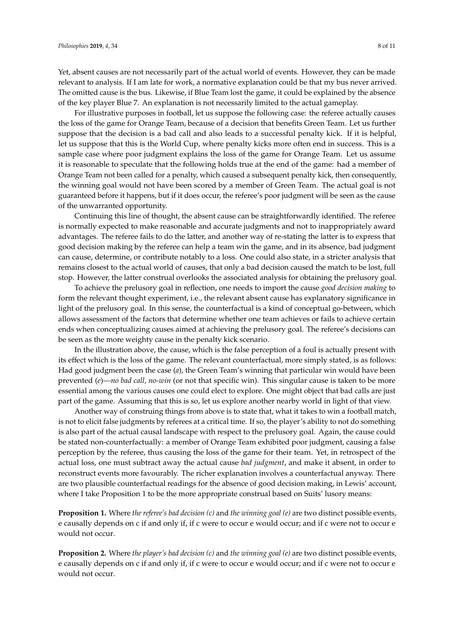Yet, absent causes are not necessarily part of the actual world of events. However, they can be made relevant to analysis. If I am late for work, a normative explanation could be that my bus never arrived. The omitted cause is the bus. Likewise, if Blue Team lost the game, it could be explained by the absence of the key player Blue 7. An explanation is not necessarily limited to the actual gameplay.

For illustrative purposes in football, let us suppose the following case: the referee actually causes the loss of the game for Orange Team, because of a decision that benefits Green Team. Let us further suppose that the decision is a bad call and also leads to a successful penalty kick. If it is helpful, let us suppose that this is the World Cup, where penalty kicks more often end in success. This is a sample case where poor judgment explains the loss of the game for Orange Team. Let us assume it is reasonable to speculate that the following holds true at the end of the game: had a member of Orange Team not been called for a penalty, which caused a subsequent penalty kick, then consequently, the winning goal would not have been scored by a member of Green Team. The actual goal is not guaranteed before it happens, but if it does occur, the referee's poor judgment will be seen as the cause of the unwarranted opportunity.

Continuing this line of thought, the absent cause can be straightforwardly identified. The referee is normally expected to make reasonable and accurate judgments and not to inappropriately award advantages. The referee fails to do the latter, and another way of re-stating the latter is to express that good decision making by the referee can help a team win the game, and in its absence, bad judgment can cause, determine, or contribute notably to a loss. One could also state, in a stricter analysis that remains closest to the actual world of causes, that only a bad decision caused the match to be lost, full stop. However, the latter construal overlooks the associated analysis for obtaining the prelusory goal.

To achieve the prelusory goal in reflection, one needs to import the cause *good decision making* to form the relevant thought experiment, i.e., the relevant absent cause has explanatory significance in light of the prelusory goal. In this sense, the counterfactual is a kind of conceptual go-between, which allows assessment of the factors that determine whether one team achieves or fails to achieve certain ends when conceptualizing causes aimed at achieving the prelusory goal. The referee's decisions can be seen as the more weighty cause in the penalty kick scenario.

In the illustration above, the cause, which is the false perception of a foul is actually present with its effect which is the loss of the game. The relevant counterfactual, more simply stated, is as follows: Had good judgment been the case (*a*), the Green Team's winning that particular win would have been prevented (*e*)*—no bad call, no-win* (or not that specific win). This singular cause is taken to be more essential among the various causes one could elect to explore. One might object that bad calls are just part of the game. Assuming that this is so, let us explore another nearby world in light of that view.

Another way of construing things from above is to state that, what it takes to win a football match, is not to elicit false judgments by referees at a critical time. If so, the player's ability to not do something is also part of the actual causal landscape with respect to the prelusory goal. Again, the cause could be stated non-counterfactually: a member of Orange Team exhibited poor judgment, causing a false perception by the referee, thus causing the loss of the game for their team. Yet, in retrospect of the actual loss, one must subtract away the actual cause *bad judgment*, and make it absent, in order to reconstruct events more favourably. The richer explanation involves a counterfactual anyway. There are two plausible counterfactual readings for the absence of good decision making, in Lewis' account, where I take Proposition 1 to be the more appropriate construal based on Suits' lusory means:

**Proposition 1.** Where *the referee's bad decision (c)* and *the winning goal (e)* are two distinct possible events, e causally depends on c if and only if, if c were to occur e would occur; and if c were not to occur e would not occur.

**Proposition 2.** Where *the player's bad decision (c)* and *the winning goal (e)* are two distinct possible events, e causally depends on c if and only if, if c were to occur e would occur; and if c were not to occur e would not occur.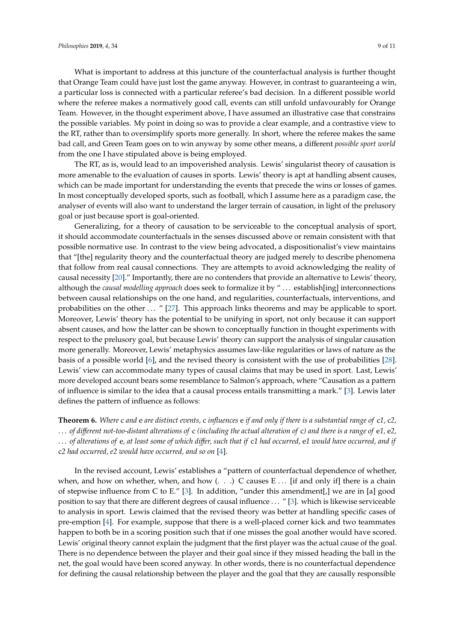What is important to address at this juncture of the counterfactual analysis is further thought that Orange Team could have just lost the game anyway. However, in contrast to guaranteeing a win, a particular loss is connected with a particular referee's bad decision. In a different possible world where the referee makes a normatively good call, events can still unfold unfavourably for Orange Team. However, in the thought experiment above, I have assumed an illustrative case that constrains the possible variables. My point in doing so was to provide a clear example, and a contrastive view to the RT, rather than to oversimplify sports more generally. In short, where the referee makes the same bad call, and Green Team goes on to win anyway by some other means, a different *possible sport world* from the one I have stipulated above is being employed.

The RT, as is, would lead to an impoverished analysis. Lewis' singularist theory of causation is more amenable to the evaluation of causes in sports. Lewis' theory is apt at handling absent causes, which can be made important for understanding the events that precede the wins or losses of games. In most conceptually developed sports, such as football, which I assume here as a paradigm case, the analyser of events will also want to understand the larger terrain of causation, in light of the prelusory goal or just because sport is goal-oriented.

Generalizing, for a theory of causation to be serviceable to the conceptual analysis of sport, it should accommodate counterfactuals in the senses discussed above or remain consistent with that possible normative use. In contrast to the view being advocated, a dispositionalist's view maintains that "[the] regularity theory and the counterfactual theory are judged merely to describe phenomena that follow from real causal connections. They are attempts to avoid acknowledging the reality of causal necessity [\[20\]](#page-10-15)." Importantly, there are no contenders that provide an alternative to Lewis' theory, although the *causal modelling approach* does seek to formalize it by " . . . establish[ing] interconnections between causal relationships on the one hand, and regularities, counterfactuals, interventions, and probabilities on the other ... " [\[27\]](#page-10-22). This approach links theorems and may be applicable to sport. Moreover, Lewis' theory has the potential to be unifying in sport, not only because it can support absent causes, and how the latter can be shown to conceptually function in thought experiments with respect to the prelusory goal, but because Lewis' theory can support the analysis of singular causation more generally. Moreover, Lewis' metaphysics assumes law-like regularities or laws of nature as the basis of a possible world [\[6\]](#page-10-0), and the revised theory is consistent with the use of probabilities [\[28\]](#page-10-23). Lewis' view can accommodate many types of causal claims that may be used in sport. Last, Lewis' more developed account bears some resemblance to Salmon's approach, where "Causation as a pattern of influence is similar to the idea that a causal process entails transmitting a mark." [\[3\]](#page-9-2). Lewis later defines the pattern of influence as follows:

**Theorem 6.** *Where* c *and* e *are distinct events,* c *influences* e *if and only if there is a substantial range of* c*1,* c*2,* . . . *of di*ff*erent not-too-distant alterations of* c *(including the actual alteration of* c*) and there is a range of* e*1,* e*2,* . . . *of alterations of* e*, at least some of which di*ff*er, such that if* c*1 had occurred,* e*1 would have occurred, and if* c*2 had occurred, e2 would have occurred, and so on* [\[4\]](#page-9-3).

In the revised account, Lewis' establishes a "pattern of counterfactual dependence of whether, when, and how on whether, when, and how  $( . . .)$  C causes E  $\ldots$  [if and only if] there is a chain of stepwise influence from C to E." [\[3\]](#page-9-2). In addition, "under this amendment[,] we are in [a] good position to say that there are different degrees of causal influence . . . " [\[3\]](#page-9-2). which is likewise serviceable to analysis in sport. Lewis claimed that the revised theory was better at handling specific cases of pre-emption [\[4\]](#page-9-3). For example, suppose that there is a well-placed corner kick and two teammates happen to both be in a scoring position such that if one misses the goal another would have scored. Lewis' original theory cannot explain the judgment that the first player was the actual cause of the goal. There is no dependence between the player and their goal since if they missed heading the ball in the net, the goal would have been scored anyway. In other words, there is no counterfactual dependence for defining the causal relationship between the player and the goal that they are causally responsible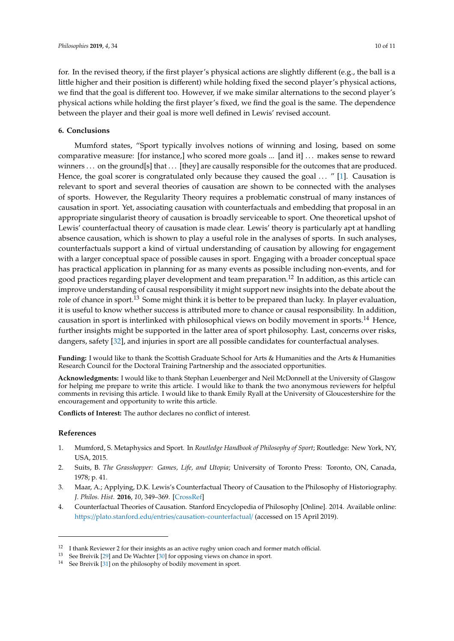for. In the revised theory, if the first player's physical actions are slightly different (e.g., the ball is a little higher and their position is different) while holding fixed the second player's physical actions, we find that the goal is different too. However, if we make similar alternations to the second player's physical actions while holding the first player's fixed, we find the goal is the same. The dependence between the player and their goal is more well defined in Lewis' revised account.

## **6. Conclusions**

Mumford states, "Sport typically involves notions of winning and losing, based on some comparative measure: [for instance,] who scored more goals ... [and it] . . . makes sense to reward winners ... on the ground[s] that ... [they] are causally responsible for the outcomes that are produced. Hence, the goal scorer is congratulated only because they caused the goal  $\ldots$  " [\[1\]](#page-9-0). Causation is relevant to sport and several theories of causation are shown to be connected with the analyses of sports. However, the Regularity Theory requires a problematic construal of many instances of causation in sport. Yet, associating causation with counterfactuals and embedding that proposal in an appropriate singularist theory of causation is broadly serviceable to sport. One theoretical upshot of Lewis' counterfactual theory of causation is made clear. Lewis' theory is particularly apt at handling absence causation, which is shown to play a useful role in the analyses of sports. In such analyses, counterfactuals support a kind of virtual understanding of causation by allowing for engagement with a larger conceptual space of possible causes in sport. Engaging with a broader conceptual space has practical application in planning for as many events as possible including non-events, and for good practices regarding player development and team preparation.<sup>12</sup> In addition, as this article can improve understanding of causal responsibility it might support new insights into the debate about the role of chance in sport.<sup>13</sup> Some might think it is better to be prepared than lucky. In player evaluation, it is useful to know whether success is attributed more to chance or causal responsibility. In addition, causation in sport is interlinked with philosophical views on bodily movement in sports.<sup>14</sup> Hence, further insights might be supported in the latter area of sport philosophy. Last, concerns over risks, dangers, safety [\[32\]](#page-10-24), and injuries in sport are all possible candidates for counterfactual analyses.

**Funding:** I would like to thank the Scottish Graduate School for Arts & Humanities and the Arts & Humanities Research Council for the Doctoral Training Partnership and the associated opportunities.

**Acknowledgments:** I would like to thank Stephan Leuenberger and Neil McDonnell at the University of Glasgow for helping me prepare to write this article. I would like to thank the two anonymous reviewers for helpful comments in revising this article. I would like to thank Emily Ryall at the University of Gloucestershire for the encouragement and opportunity to write this article.

**Conflicts of Interest:** The author declares no conflict of interest.

#### **References**

- <span id="page-9-0"></span>1. Mumford, S. Metaphysics and Sport. In *Routledge Handbook of Philosophy of Sport*; Routledge: New York, NY, USA, 2015.
- <span id="page-9-1"></span>2. Suits, B. *The Grasshopper: Games, Life, and Utopia*; University of Toronto Press: Toronto, ON, Canada, 1978; p. 41.
- <span id="page-9-2"></span>3. Maar, A.; Applying, D.K. Lewis's Counterfactual Theory of Causation to the Philosophy of Historiography. *J. Philos. Hist.* **2016**, *10*, 349–369. [\[CrossRef\]](http://dx.doi.org/10.1163/18722636-12341349)
- <span id="page-9-3"></span>4. Counterfactual Theories of Causation. Stanford Encyclopedia of Philosophy [Online]. 2014. Available online: https://plato.stanford.edu/entries/[causation-counterfactual](https://plato.stanford.edu/entries/causation-counterfactual/)/ (accessed on 15 April 2019).

<sup>&</sup>lt;sup>12</sup> I thank Reviewer 2 for their insights as an active rugby union coach and former match official.<br><sup>13</sup> See Breivik [29] and De Wachter [30] for opposing views on chance in sport

See Breivik [\[29\]](#page-10-25) and De Wachter [\[30\]](#page-10-26) for opposing views on chance in sport.

 $^{14}$  See Breivik [\[31\]](#page-10-27) on the philosophy of bodily movement in sport.